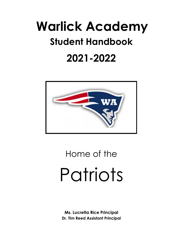# **Warlick Academy Student Handbook 2021-2022**



# Home of the Patriots

**Ms. Lucretia Rice Principal Dr. Tim Reed Assistant Principal**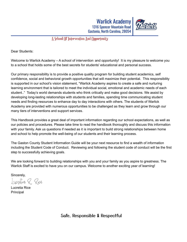Warlick Academy 1316 Spencer Mountain Road Gastonia, North Carolina, 28054



### A School Of Intervention And Opportunity

Dear Students:

Welcome to Warlick Academy – A school of intervention and opportunity! It is my pleasure to welcome you to a school that holds some of the best secrets for students' educational and personal success.

Our primary responsibility is to provide a positive quality program for building student academics, self confidence, social and behavioral growth opportunities that will maximize their potential. This responsibility is supported in our school's vision statement, "Warlick Academy aspires to create a safe and nurturing learning environment that is tailored to meet the individual social, emotional and academic needs of each student.." Today's world demands students who think critically and make good decisions. We assist by developing long-lasting relationships with students and families, spending time communicating student needs and finding resources to enhance day to day interactions with others. The students of Warlick Academy are provided with numerous opportunities to be challenged as they learn and grow through our many tiers of interventions and support services.

This Handbook provides a great deal of important information regarding our school expectations, as well as our policies and procedures. Please take time to read the handbook thoroughly and discuss this information with your family. Ask us questions if needed as it is important to build strong relationships between home and school to help promote the well-being of our students and their learning process.

The Gaston County Student Information Guide will be your next resource to find a wealth of information including the Student Code of Conduct. Reviewing and following the student code of conduct will be the first step to successfully achieving goals.

We are looking forward to building relationships with you and your family as you aspire to greatness. The Warlick Staff is excited to have you on our campus. Welcome to another exciting year of learning!

Sincerely,

Iucretia R. Pice

Lucretia Rice Principal

Safe, Responsible & Respectful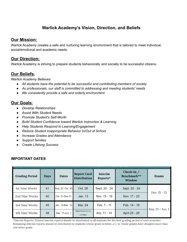# **Warlick Academy's Vision, Direction, and Beliefs**

# **Our Mission:**

Warlick Academy creates a safe and nurturing learning environment that is tailored to meet individual, social/emotional and academic needs.

# **Our Direction:**

Warlick Academy is striving to prepare students behaviorally and socially to be successful citizens.

# **Our Beliefs:**

*Warlick Academy Believes:*

- *All students have the potential to be successful and contributing members of society*
- *As professionals, our staff is committed to addressing and meeting students' needs*
- *We consistently provide a safe and orderly environment*

# **Our Goals:**

- *● Develop Relationships*
- *● Assist With Student Needs*
- *● Promote Student's Self-Worth*
- *● Build Student Confidence toward Warlick Instruction & Learning*
- *● Help Students Respond to Learning/Engagement*
- *● Reduce Student Inappropriate Behavior In/Out of School*
- *● Increase Grades and Attendance*
- *● Support families*
- *● Create Lifelong Success*

#### **IMPORTANT DATES**

| <b>Grading Period</b> | <b>Days</b> | <b>Dates</b>      | <b>Report Card</b><br><b>Distribution</b> | Interim<br>Reports* | Check-In $/$<br>Benchmark**<br><b>Window</b> | <b>Exams</b>    |
|-----------------------|-------------|-------------------|-------------------------------------------|---------------------|----------------------------------------------|-----------------|
| 1st Nine Weeks        | 41          | Aug. 23 - Oct. 20 | Oct. 28                                   | Sept. 20 - 24       | Sept. 20 - 24                                | Dec. 15 - 21    |
| 2nd Nine Weeks        | 40          | Oct. 21-Dec. 21   | Jan. 13                                   | Nov. 15 - 19        | Nov. 17 - 23                                 |                 |
| 3rd Nine Weeks        | 45          | Jan. 10-Mar. 16   | Mar. 24                                   | Feb. 7 - 11         | Feb. 14 - 18                                 | May 25 - Jun. 1 |
| 4th Nine Weeks        | 48          | Mar. 17-Jun. 1    | Mailed home during<br>workdays            | Arp. 11 - 14        | April 25 - 29                                |                 |

\*Interim Reports: Printed interim reports should be distributed to all students for the first grading period of each semester. Remaining interim reports should be distributed to students whose grade is below a C, or whose grades have dropped more than one letter grade.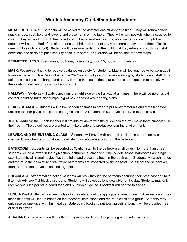# **Warlick Academy Guidelines for Students**

**METAL DETECTION –** Students will be called to the detector one student at a time. They will remove their mask, shoes, coat, belt, and jewelry and place items on the table. They will empty pockets when instructed to do so. They will walk through the detector and if an alarm/beep occurs, a second entrance through the detector will be required. If the alarm beeps a third time, students may be searched by appropriate officials (see GCS search protocol). Students will be refused entry into the building if they refuse to comply with staff directions and or do not pass security checks. A parent or guardian will be notified for next steps.

**PERMITTED ITEMS:** Eyeglasses, Lip Balm, House Key, up to \$5, books or homework

**MASK:** We are continuing to receive guidance on safety for students. Masks will be required to be worn at all times on the school bus. We will enter the 2021-22 school year with mask wearing by students and staff. This guidance is subject to change and at any time. In the case it does our students are expected to comply with the safety guidelines of our school and district.

**HALLWAY** – Students will walk quietly on the right side of the hallway at all times. There will be no physical contact including hugs, fist bumps, high-fives, handshakes, or gang signs.

**CLASS CHANGE** – Students will follow scheduled times in order to put away materials and remain seated until the teacher gives direction to change classes. All students must travel directly to the next class.

**THE CLASSROOM –** Each teacher will provide students with the guidelines that will make them successful in their room. The guidelines are created to make a safe and productive learning environment.

**LEAVING AND RE-ENTERING CLASS –** Students will travel with an adult at all times other than class change. Class change is monitored by all staff by visibly observing from the hallways.

**BATHROOM** – Students will be escorted by Warlick staff to the bathroom at all times. No more than three students will be allowed in the high school bathroom at any given time. Middle school bathrooms are single use. Students will remain quiet, flush the toilet and place any trash in the trash can. Students will wash hands and return to the hallway and wait while bathrooms are inspected by their escort.The escort and student will then return to the previous location together.

**BREAKFAST-** After metal detection, students will walk through the cafeteria securing their breakfast and take it to their Advisory/1st block classroom. Students will select options available for the day. Students may only receive one juice per state board food and nutrition guideline. Breakfast will be free this year.

**LUNCH-** Warlick Staff will call each class to the cafeteria at the appropriate time for lunch. After recieving their lunch students will line up based on the teachers instructions and return to class as a group. Students may only receive one juice with this meal per state board food and nutrition guideline. Lunch will be provided free of cost this year.

**ALA-CARTE-** These items will be offered beginning in September pending approval at Warlick.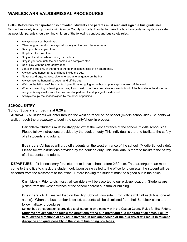# **WARLICK ARRIVAL/DISMISSAL PROCEDURES**

#### **BUS- Before bus transportation is provided, students and parents must read and sign the bus guidelines**.

School bus safety is a top priority with Gaston County Schools. In order to make the bus transportation system as safe as possible, parents should remind children of the following conduct and bus safety rules:

- Always obey your bus driver.
- Observe good conduct. Always talk quietly on the bus. Never scream.
- Be at your bus stop on time.
- Help keep the bus clean.
- Stay off the street when waiting for the bus.
- Stay in your seat until the bus comes to a complete stop.
- Don't play with the emergency door.
- Leave the bus only at the front of the door except in case of an emergency.
- Always keep hands, arms and head inside the bus.
- Never use drugs, tobacco, alcohol or profane language on the bus.
- Always use the handrail to get on and off the bus.
- Walk on the left side of the road facing traffic when going to the bus stop. Always stay well off the road.
- When approaching or leaving your bus, if you must cross the street, always cross in front of the bus where the driver can see you. Always make sure the bus has stopped and the stop signal is extended.
- Always occupy the seat assigned by the driver or principal.

#### **SCHOOL ENTRY**

#### **School Supervision begins at 8:20 a.m.**

**ARRIVAL -** All students will enter through the west entrance of the school (middle school side). Students will walk through the breezeway to begin the security/check in process.

**Car riders**- Students must be **dropped off** at the west entrance of the school.(middle school side)· Please follow instructions provided by the adult on duty. This individual is there to facilitate the safety of all students and adults.

**Bus riders**- All buses will drop off students on the west entrance of the school (Middle School side). Please follow instructions provided by the adult on duty. This individual is there to facilitate the safety of all students and adults.

**DEPARTURE -** If it is necessary for a student to leave school before 2:30 p.m. The parent/guardian must come to the office to check the student out. Upon being called to the office for dismissal, the student will be escorted from the classroom to the office. Before leaving,the student must be signed out in the office.

**Car riders -** Prior to dismissal, all car riders will be escorted to our pick-up location. Students are picked from the west entrance of the school nearest our smaller building.

**Bus riders -** All Buses will load on the High School Gym side**.** Front office will call each bus (one at a time). When the bus number is called, students will be dismissed from their 6th block class and follow hallway procedures.

School bus transportation is provided to all students who comply with the Gaston County Rules for Bus Riders. Students are expected to follow the directions of the bus driver and bus monitors at all times. Failure to follow the directions of any adult involved in bus supervision or the bus driver will result in student **discipline and quite possibly in the loss of bus riding privileges.**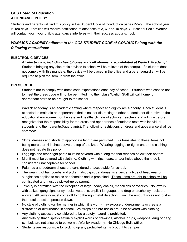### **GCS Board of Education ATTENDANCE POLICY**

Students and parents will find this policy in the Student Code of Conduct on pages 22-29. The school year is 180 days. Families will receive notification of absences at 3, 6, and 10 days. Our school Social Worker will contact you if your child's attendance interferes with their success at our school.

# *WARLICK ACADEMY adheres to the GCS STUDENT CODE of CONDUCT along with the following restrictions***:**

#### **ELECTRONIC DEVICES**

*All electronics, including headphones and cell phones, are prohibited at Warlick Academy!* Students bringing any electronic devices to school will be relieved of the item(s). If a student does not comply with this mandate, the device will be placed in the office and a parent/guardian will be required to pick the item up from the office.

#### **DRESS CODE**

Students are to comply with dress code expectations each day of school. Students who choose not to meet the dress code will not be permitted into their class Warlick Staff will call home for appropriate attire to be brought to the school.

Warlick Academy is an academic setting where respect and dignity are a priority. Each student is expected to maintain an appearance that is neither distracting to other students nor disruptive to the educational environment or the safe and healthy climate of schools. Teachers and administrators recognize that the responsibility for the dress and appearance of students rests with individual students and their parent(s)/guardian(s). The following restrictions on dress and appearance shall be enforced:

- Skirts, dresses and shorts of appropriate length are permitted. This translates to these items not being more than 4 inches above the top of the knee. Wearing leggings or tights under the clothing does not negate this policy.
- Leggings and other tight pants must be covered with a long top that reaches below their bottom.
- Midriff must be covered with clothing. Clothing with rips, tears, and/or holes above the knee is considered unacceptable for school.
- Pajamas and bedroom shoes are considered unacceptable for school.
- The wearing of hair combs and picks, hats, caps, bandanas, scarves, any type of headwear or sunglasses applies to males and females and is prohibited. These items brought to school will be confiscated and must be picked-up by parent.
- Jewelry is permitted with the exception of large, heavy chains, medallions or rosaries. No jewelry with spikes, gang signs or symbols, weapons, explicit language, and drug or alcohol symbols are allowed. All Jewelry must come off to go through metal detection. Limit the amount so as not to slow the metal detection process down.
- No style of clothing (or the manner in which it is worn) may expose undergarments or create a distraction or disturbance in school. Bra straps and bra backs are to be covered with clothing.
- Any clothing accessory considered to be a safety hazard is prohibited. · Any clothing that displays sexually explicit words or drawings, alcohol, drugs, weapons, drug or gang symbols are not allowed to be worn at Warlick Academy. No Chicago Bulls attire.
- Students are responsible for picking up any prohibited items brought to campus.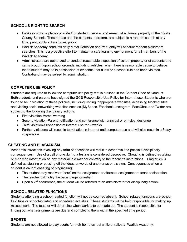# **SCHOOL'S RIGHT TO SEARCH**

- Desks or storage places provided for student use are, and remain at all times, property of the Gaston County Schools. These areas and the contents, therefore, are subject to a random search at any time, pursuant to school board policy.
- Warlick Academy conducts daily Metal Detection and frequently will conduct random classroom searches. This is a proactive effort to maintain a safe learning environment for all members of the Warlick Academy.
- Administrators are authorized to conduct reasonable inspection of school property or of students and items brought upon school grounds, including vehicles, when there is reasonable cause to believe that a student may be in possession of evidence that a law or a school rule has been violated. Contraband may be seized by administration.

# **COMPUTER USE POLICY**

Students are required to follow the computer use policy that is outlined in the Student Code of Conduct. Both students and parents have signed the GCS Responsible Use Policy for Internet use. Students who are found to be in violation of these policies, including visiting inappropriate websites, accessing blocked sites and visiting social networking websites such as (MySpace, Facebook, Instagram, FaceChat, and Twitter are subject to the following disciplinary actions:

- First violation-Verbal warning
- Second violation-Parent notification and conference with principal or principal designee
- Third violation-Suspension of internet use for 2 weeks
- Further violations will result in termination in internet and computer use and will also result in a 3 day suspension

### **CHEATING AND PLAGIARISM**

Academic infractions involving any form of deception will result in academic and possible disciplinary consequences. Use of a cell phone during a testing is considered deceptive. Cheating is defined as giving or receiving information on any material in a manner contrary to the teacher's instructions. Plagiarism is defined as stealing or passing off the ideas or words of another as one's own. Consequences when a student is caught cheating or plagiarizing:

- The student may receive a "zero" on the assignment or alternate assignment at teacher discretion
- The teacher will notify the parent/legal guardian
- Upon a 2<sup>nd</sup> occurrence, the student will be referred to an administrator for disciplinary action.

### **SCHOOL RELATED FUNCTIONS**

Students attending a school-related function will not be counted absent. School related functions are school field trips or school-initiated and scheduled activities. These students will be held responsible for making up missed work. The teacher will determine when work is to be made up. The student is responsible for finding out what assignments are due and completing them within the specified time period.

#### **SPORTS**

Students are not allowed to play sports for their home school while enrolled at Warlick Academy.